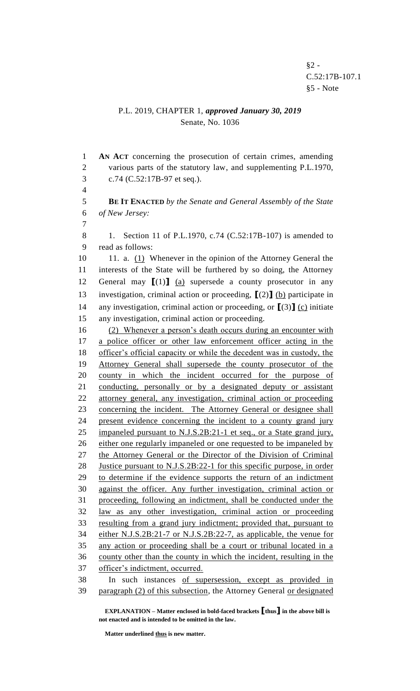## P.L. 2019, CHAPTER 1, *approved January 30, 2019* Senate, No. 1036

 **AN ACT** concerning the prosecution of certain crimes, amending various parts of the statutory law, and supplementing P.L.1970, c.74 (C.52:17B-97 et seq.).

 **BE IT ENACTED** *by the Senate and General Assembly of the State of New Jersey:*

 $\overline{A}$ 

 1. Section 11 of P.L.1970, c.74 (C.52:17B-107) is amended to read as follows:

10 11. a. (1) Whenever in the opinion of the Attorney General the interests of the State will be furthered by so doing, the Attorney General may **[**(1)**]** (a) supersede a county prosecutor in any investigation, criminal action or proceeding, **[**(2)**]** (b) participate in any investigation, criminal action or proceeding, or **[**(3)**]** (c) initiate any investigation, criminal action or proceeding.

 (2) Whenever a person's death occurs during an encounter with a police officer or other law enforcement officer acting in the officer's official capacity or while the decedent was in custody, the Attorney General shall supersede the county prosecutor of the county in which the incident occurred for the purpose of conducting, personally or by a designated deputy or assistant attorney general, any investigation, criminal action or proceeding concerning the incident. The Attorney General or designee shall present evidence concerning the incident to a county grand jury impaneled pursuant to N.J.S.2B:21-1 et seq., or a State grand jury, either one regularly impaneled or one requested to be impaneled by 27 the Attorney General or the Director of the Division of Criminal Justice pursuant to N.J.S.2B:22-1 for this specific purpose, in order to determine if the evidence supports the return of an indictment against the officer. Any further investigation, criminal action or proceeding, following an indictment, shall be conducted under the law as any other investigation, criminal action or proceeding resulting from a grand jury indictment; provided that, pursuant to either N.J.S.2B:21-7 or N.J.S.2B:22-7, as applicable, the venue for any action or proceeding shall be a court or tribunal located in a county other than the county in which the incident, resulting in the officer's indictment, occurred. In such instances of supersession, except as provided in paragraph (2) of this subsection, the Attorney General or designated

**EXPLANATION – Matter enclosed in bold-faced brackets [thus] in the above bill is not enacted and is intended to be omitted in the law.**

**Matter underlined thus is new matter.**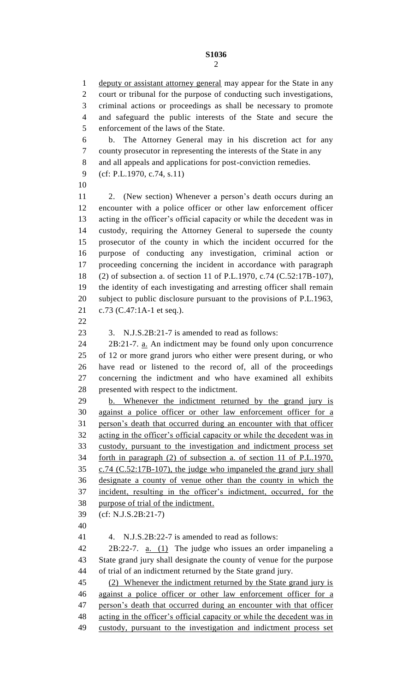deputy or assistant attorney general may appear for the State in any court or tribunal for the purpose of conducting such investigations, criminal actions or proceedings as shall be necessary to promote and safeguard the public interests of the State and secure the enforcement of the laws of the State. b. The Attorney General may in his discretion act for any county prosecutor in representing the interests of the State in any and all appeals and applications for post-conviction remedies. (cf: P.L.1970, c.74, s.11) 2. (New section) Whenever a person's death occurs during an encounter with a police officer or other law enforcement officer acting in the officer's official capacity or while the decedent was in custody, requiring the Attorney General to supersede the county prosecutor of the county in which the incident occurred for the purpose of conducting any investigation, criminal action or proceeding concerning the incident in accordance with paragraph (2) of subsection a. of section 11 of P.L.1970, c.74 (C.52:17B-107), the identity of each investigating and arresting officer shall remain subject to public disclosure pursuant to the provisions of P.L.1963, c.73 (C.47:1A-1 et seq.). 3. N.J.S.2B:21-7 is amended to read as follows: 2B:21-7. a. An indictment may be found only upon concurrence of 12 or more grand jurors who either were present during, or who have read or listened to the record of, all of the proceedings concerning the indictment and who have examined all exhibits presented with respect to the indictment. b. Whenever the indictment returned by the grand jury is against a police officer or other law enforcement officer for a person's death that occurred during an encounter with that officer acting in the officer's official capacity or while the decedent was in custody, pursuant to the investigation and indictment process set forth in paragraph (2) of subsection a. of section 11 of P.L.1970, c.74 (C.52:17B-107), the judge who impaneled the grand jury shall designate a county of venue other than the county in which the incident, resulting in the officer's indictment, occurred, for the purpose of trial of the indictment. (cf: N.J.S.2B:21-7) 4. N.J.S.2B:22-7 is amended to read as follows: 2B:22-7. a. (1) The judge who issues an order impaneling a State grand jury shall designate the county of venue for the purpose of trial of an indictment returned by the State grand jury. (2) Whenever the indictment returned by the State grand jury is against a police officer or other law enforcement officer for a person's death that occurred during an encounter with that officer acting in the officer's official capacity or while the decedent was in custody, pursuant to the investigation and indictment process set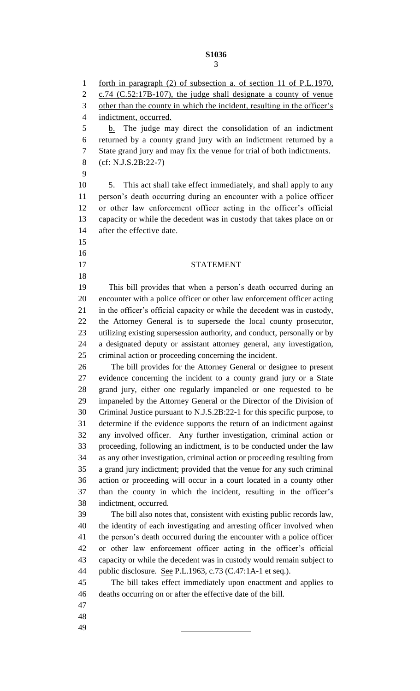forth in paragraph (2) of subsection a. of section 11 of P.L.1970, c.74 (C.52:17B-107), the judge shall designate a county of venue 3 other than the county in which the incident, resulting in the officer's indictment, occurred. 5 b. The judge may direct the consolidation of an indictment returned by a county grand jury with an indictment returned by a State grand jury and may fix the venue for trial of both indictments. (cf: N.J.S.2B:22-7) 5. This act shall take effect immediately, and shall apply to any person's death occurring during an encounter with a police officer or other law enforcement officer acting in the officer's official capacity or while the decedent was in custody that takes place on or after the effective date. STATEMENT This bill provides that when a person's death occurred during an encounter with a police officer or other law enforcement officer acting in the officer's official capacity or while the decedent was in custody, the Attorney General is to supersede the local county prosecutor, utilizing existing supersession authority, and conduct, personally or by a designated deputy or assistant attorney general, any investigation, criminal action or proceeding concerning the incident. The bill provides for the Attorney General or designee to present evidence concerning the incident to a county grand jury or a State grand jury, either one regularly impaneled or one requested to be impaneled by the Attorney General or the Director of the Division of Criminal Justice pursuant to N.J.S.2B:22-1 for this specific purpose, to determine if the evidence supports the return of an indictment against any involved officer. Any further investigation, criminal action or proceeding, following an indictment, is to be conducted under the law as any other investigation, criminal action or proceeding resulting from a grand jury indictment; provided that the venue for any such criminal action or proceeding will occur in a court located in a county other than the county in which the incident, resulting in the officer's indictment, occurred. The bill also notes that, consistent with existing public records law, the identity of each investigating and arresting officer involved when the person's death occurred during the encounter with a police officer or other law enforcement officer acting in the officer's official capacity or while the decedent was in custody would remain subject to public disclosure. See P.L.1963, c.73 (C.47:1A-1 et seq.). The bill takes effect immediately upon enactment and applies to deaths occurring on or after the effective date of the bill.